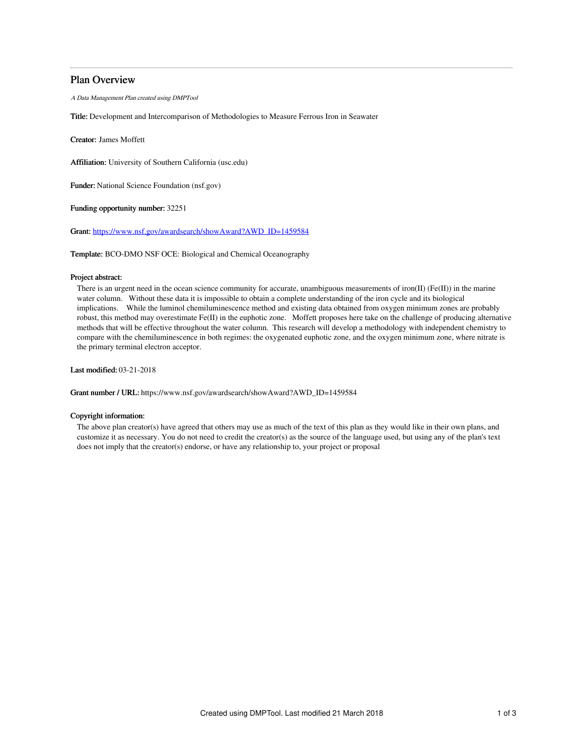# Plan Overview

A Data Management Plan created using DMPTool

Title: Development and Intercomparison of Methodologies to Measure Ferrous Iron in Seawater

Creator: James Moffett

Affiliation: University of Southern California (usc.edu)

Funder: National Science Foundation (nsf.gov)

Funding opportunity number: 32251

Grant: [https://www.nsf.gov/awardsearch/showAward?AWD\\_ID=1459584](https://www.nsf.gov/awardsearch/showAward?AWD_ID=1459584)

Template: BCO-DMO NSF OCE: Biological and Chemical Oceanography

## Project abstract:

There is an urgent need in the ocean science community for accurate, unambiguous measurements of iron(II) (Fe(II)) in the marine water column. Without these data it is impossible to obtain a complete understanding of the iron cycle and its biological implications. While the luminol chemiluminescence method and existing data obtained from oxygen minimum zones are probably robust, this method may overestimate Fe(II) in the euphotic zone. Moffett proposes here take on the challenge of producing alternative methods that will be effective throughout the water column. This research will develop a methodology with independent chemistry to compare with the chemiluminescence in both regimes: the oxygenated euphotic zone, and the oxygen minimum zone, where nitrate is the primary terminal electron acceptor.

Last modified: 03-21-2018

Grant number / URL: https://www.nsf.gov/awardsearch/showAward?AWD\_ID=1459584

## Copyright information:

The above plan creator(s) have agreed that others may use as much of the text of this plan as they would like in their own plans, and customize it as necessary. You do not need to credit the creator(s) as the source of the language used, but using any of the plan's text does not imply that the creator(s) endorse, or have any relationship to, your project or proposal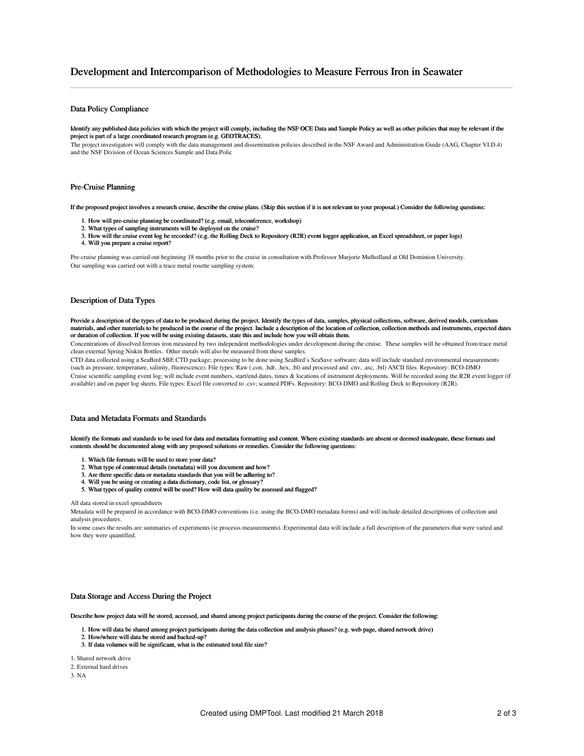# Development and Intercomparison of Methodologies to Measure Ferrous Iron in Seawater

## Data Policy Compliance

Identify any published data policies with which the project will comply, including the NSF OCE Data and Sample Policy as well as other policies that may be relevant if the project is part of a large coordinated research program (e.g. GEOTRACES).

The project investigators will comply with the data management and dissemination policies described in the NSF Award and Administration Guide (AAG, Chapter VI.D.4) and the NSF Division of Ocean Sciences Sample and Data Polic

#### Pre-Cruise Planning

If the proposed project involves a research cruise, describe the cruise plans. (Skip this section if it is not relevant to your proposal.) Consider the following questions:

- 1. How will pre-cruise planning be coordinated? (e.g. email, teleconference, workshop)
- 2. What types of sampling instruments will be deployed on the cruise?
- 3. How will the cruise event log be recorded? (e.g. the Rolling Deck to Repository (R2R) event logger application, an Excel spreadsheet, or paper logs)
- 4. Will you prepare a cruise report?

Pre-cruise planning was carried out beginning 18 months prior to the cruise in consultation with Professor Marjorie Mulholland at Old Dominion University. Our sampling was carried out with a trace metal rosette sampling system.

### Description of Data Types

Provide a description of the types of data to be produced during the project. Identify the types of data, samples, physical collections, software, derived models, curriculum materials, and other materials to be produced in the course of the project. Include a description of the location of collection, collection methods and instruments, expected dates or duration of collection. If you will be using existing datasets, state this and include how you will obtain them.

Concentrations of dissolved ferrous iron measured by two independent methodologies under development during the cruise. These samples will be obtained from trace metal clean external Spring Niskin Bottles. Other metals will also be measured from these samples.

CTD data collected using a SeaBird SBE CTD package; processing to be done using SeaBird's SeaSave software; data will include standard environmental measurements (such as pressure, temperature, salinity, fluorescence). File types: Raw (.con, .hdr, .hex, .bl) and processed and .cnv, .asc, .btl) ASCII files. Repository: BCO-DMO Cruise scientific sampling event log; will include event numbers, start/end dates, times & locations of instrument deployments. Will be recorded using the R2R event logger (if available) and on paper log sheets. File types: Excel file converted to .csv; scanned PDFs. Repository: BCO-DMO and Rolling Deck to Repository (R2R).

### Data and Metadata Formats and Standards

Identify the formats and standards to be used for data and metadata formatting and content. Where existing standards are absent or deemed inadequate, these formats and contents should be documented along with any proposed solutions or remedies. Consider the following questions:

- 1. Which file formats will be used to store your data?
- 2. What type of contextual details (metadata) will you document and how?
- 3. Are there specific data or metadata standards that you will be adhering to?
- 4. Will you be using or creating a data dictionary, code list, or glossary?
- 5. What types of quality control will be used? How will data quality be assessed and flagged?

#### All data stored in excel spreadsheets

Metadata will be prepared in accordance with BCO-DMO conventions (i.e. using the BCO-DMO metadata forms) and will include detailed descriptions of collection and analysis procedures.

In some cases the results are summaries of experiments (ie processs measurements). Experimental data will include a full description of the parameters that were varied and how they were quantified.

#### Data Storage and Access During the Project

Describe how project data will be stored, accessed, and shared among project participants during the course of the project. Consider the following:

- 1. How will data be shared among project participants during the data collection and analysis phases? (e.g. web page, shared network drive)
- 2. How/where will data be stored and backed-up?
- 3. If data volumes will be significant, what is the estimated total file size?
- 1. Shared network drive
- 2. External hard drives

3. NA